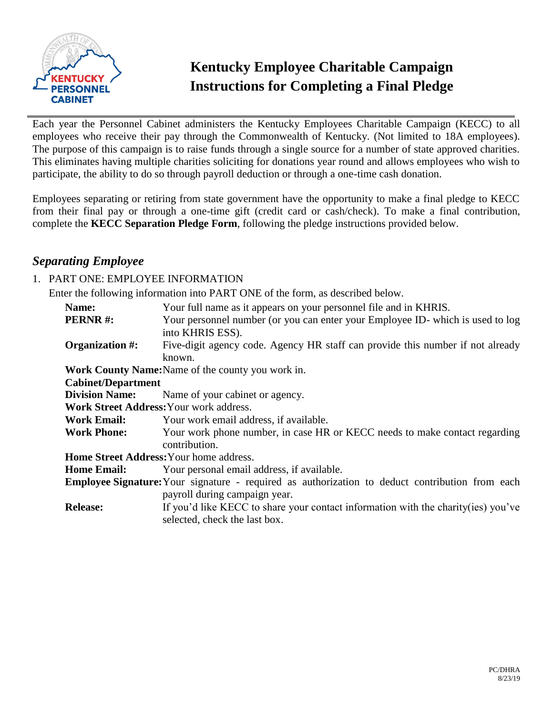

# **Kentucky Employee Charitable Campaign Instructions for Completing a Final Pledge**

Each year the Personnel Cabinet administers the Kentucky Employees Charitable Campaign (KECC) to all employees who receive their pay through the Commonwealth of Kentucky. (Not limited to 18A employees). The purpose of this campaign is to raise funds through a single source for a number of state approved charities. This eliminates having multiple charities soliciting for donations year round and allows employees who wish to participate, the ability to do so through payroll deduction or through a one-time cash donation.

Employees separating or retiring from state government have the opportunity to make a final pledge to KECC from their final pay or through a one-time gift (credit card or cash/check). To make a final contribution, complete the **KECC Separation Pledge Form**, following the pledge instructions provided below.

## *Separating Employee*

### 1. PART ONE: EMPLOYEE INFORMATION

Enter the following information into PART ONE of the form, as described below.

| Name:                                          | Your full name as it appears on your personnel file and in KHRIS.                                  |
|------------------------------------------------|----------------------------------------------------------------------------------------------------|
| PERNR#:                                        | Your personnel number (or you can enter your Employee ID- which is used to log<br>into KHRIS ESS). |
| Organization #:                                | Five-digit agency code. Agency HR staff can provide this number if not already                     |
|                                                | known.                                                                                             |
|                                                | <b>Work County Name:</b> Name of the county you work in.                                           |
| <b>Cabinet/Department</b>                      |                                                                                                    |
|                                                | <b>Division Name:</b> Name of your cabinet or agency.                                              |
| Work Street Address: Your work address.        |                                                                                                    |
| <b>Work Email:</b>                             | Your work email address, if available.                                                             |
| <b>Work Phone:</b>                             | Your work phone number, in case HR or KECC needs to make contact regarding                         |
|                                                | contribution.                                                                                      |
| <b>Home Street Address:</b> Your home address. |                                                                                                    |
| <b>Home Email:</b>                             | Your personal email address, if available.                                                         |
|                                                | Employee Signature: Your signature - required as authorization to deduct contribution from each    |
|                                                | payroll during campaign year.                                                                      |
| <b>Release:</b>                                | If you'd like KECC to share your contact information with the charity (ies) you've                 |
|                                                | selected, check the last box.                                                                      |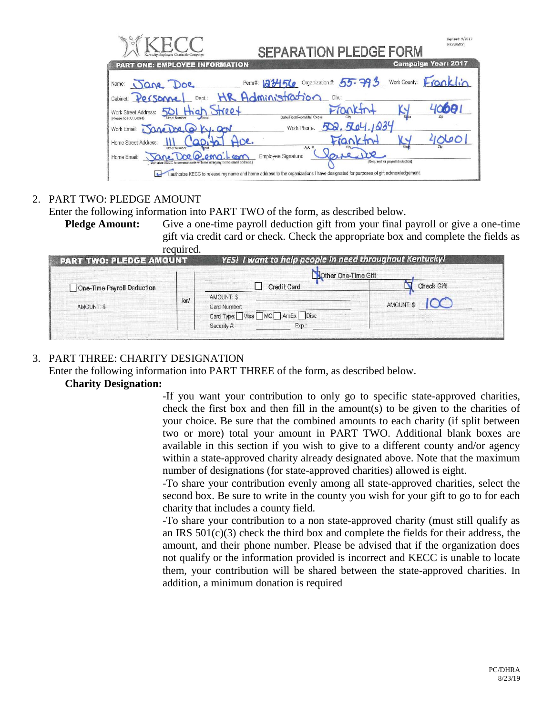| <b>SEPARATION PLEDGE FORM</b><br>Kerstacky Employees Charitable Campaign                                                            |                                  | Revised: 9/2017<br>NK (UWKY) |
|-------------------------------------------------------------------------------------------------------------------------------------|----------------------------------|------------------------------|
| PART ONE: EMPLOYEE INFORMATION                                                                                                      |                                  | <b>Campaign Year: 2017</b>   |
| Pernr#: 123456 Organization # 55-793<br>Jane Doe<br>Name:                                                                           | Work County:                     | anklin                       |
| R Administration<br>PO (SONNe<br>Div.:<br>Dept.:<br>Cabinet:                                                                        |                                  |                              |
| 4004<br>Work Street Address:<br>Suite/Floor/Room/Mail Stop #<br><b>Street Number</b><br>(Please no P.O. Boxes)                      | State                            | $4\Theta$                    |
| <b>NOW</b><br>Work Phone:<br>Work Email:<br><b>J. QN</b>                                                                            |                                  |                              |
| <b>Home Street Address:</b>                                                                                                         |                                  |                              |
| Apt. #<br>Street Number<br>Street<br>Employee Signature:<br>Home Email:<br>KECC to communicate with me using my home email address. | (Required for payroll deduction) |                              |
| authorize KECC to release my name and home address to the organizations I have designated for purposes of gift acknowledgement.     |                                  |                              |

### 2. PART TWO: PLEDGE AMOUNT

Enter the following information into PART TWO of the form, as described below.

**Pledge Amount:** Give a one-time payroll deduction gift from your final payroll or give a one-time gift via credit card or check. Check the appropriate box and complete the fields as required.

| <b>PART TWO: PLEDGE AMOUNT</b>           |        | YES! I want to help people in need throughout Kentucky!<br>Other One-Time Gift                           |                                            |
|------------------------------------------|--------|----------------------------------------------------------------------------------------------------------|--------------------------------------------|
| One-Time Payroll Deduction<br>AMOUNT: \$ | $/$ or | <b>Credit Card</b><br>AMOUNT: \$<br>Card Number:<br>Card Type: Visa MC AmEx Disc<br>Security #:<br>Exp.: | <b>Check Gift</b><br>AMOUNT: \$ <b>100</b> |

## 3. PART THREE: CHARITY DESIGNATION

Enter the following information into PART THREE of the form, as described below.

#### **Charity Designation:**

-If you want your contribution to only go to specific state-approved charities, check the first box and then fill in the amount(s) to be given to the charities of your choice. Be sure that the combined amounts to each charity (if split between two or more) total your amount in PART TWO. Additional blank boxes are available in this section if you wish to give to a different county and/or agency within a state-approved charity already designated above. Note that the maximum number of designations (for state-approved charities) allowed is eight.

-To share your contribution evenly among all state-approved charities, select the second box. Be sure to write in the county you wish for your gift to go to for each charity that includes a county field.

-To share your contribution to a non state-approved charity (must still qualify as an IRS 501(c)(3) check the third box and complete the fields for their address, the amount, and their phone number. Please be advised that if the organization does not qualify or the information provided is incorrect and KECC is unable to locate them, your contribution will be shared between the state-approved charities. In addition, a minimum donation is required